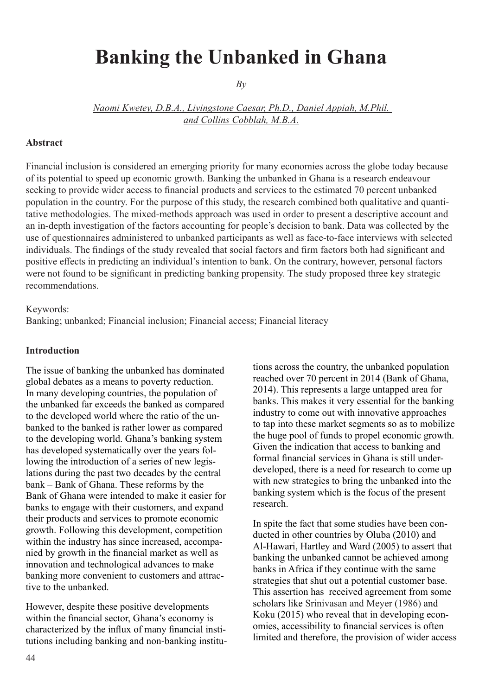# **Banking the Unbanked in Ghana**

*By* 

*Naomi Kwetey, D.B.A., Livingstone Caesar, Ph.D., Daniel Appiah, M.Phil. and Collins Cobblah, M.B.A.*

#### **Abstract**

Financial inclusion is considered an emerging priority for many economies across the globe today because of its potential to speed up economic growth. Banking the unbanked in Ghana is a research endeavour seeking to provide wider access to financial products and services to the estimated 70 percent unbanked population in the country. For the purpose of this study, the research combined both qualitative and quantitative methodologies. The mixed-methods approach was used in order to present a descriptive account and an in-depth investigation of the factors accounting for people's decision to bank. Data was collected by the use of questionnaires administered to unbanked participants as well as face-to-face interviews with selected individuals. The findings of the study revealed that social factors and firm factors both had significant and positive effects in predicting an individual's intention to bank. On the contrary, however, personal factors were not found to be significant in predicting banking propensity. The study proposed three key strategic recommendations.

#### Keywords:

Banking; unbanked; Financial inclusion; Financial access; Financial literacy

#### **Introduction**

The issue of banking the unbanked has dominated global debates as a means to poverty reduction. In many developing countries, the population of the unbanked far exceeds the banked as compared to the developed world where the ratio of the unbanked to the banked is rather lower as compared to the developing world. Ghana's banking system has developed systematically over the years following the introduction of a series of new legislations during the past two decades by the central bank – Bank of Ghana. These reforms by the Bank of Ghana were intended to make it easier for banks to engage with their customers, and expand their products and services to promote economic growth. Following this development, competition within the industry has since increased, accompanied by growth in the financial market as well as innovation and technological advances to make banking more convenient to customers and attractive to the unbanked.

However, despite these positive developments within the financial sector, Ghana's economy is characterized by the influx of many financial institutions including banking and non-banking institutions across the country, the unbanked population reached over 70 percent in 2014 (Bank of Ghana, 2014). This represents a large untapped area for banks. This makes it very essential for the banking industry to come out with innovative approaches to tap into these market segments so as to mobilize the huge pool of funds to propel economic growth. Given the indication that access to banking and formal financial services in Ghana is still underdeveloped, there is a need for research to come up with new strategies to bring the unbanked into the banking system which is the focus of the present research.

In spite the fact that some studies have been conducted in other countries by Oluba (2010) and Al-Hawari, Hartley and Ward (2005) to assert that banking the unbanked cannot be achieved among banks in Africa if they continue with the same strategies that shut out a potential customer base. This assertion has received agreement from some scholars like Srinivasan and Meyer (1986) and Koku (2015) who reveal that in developing economies, accessibility to financial services is often limited and therefore, the provision of wider access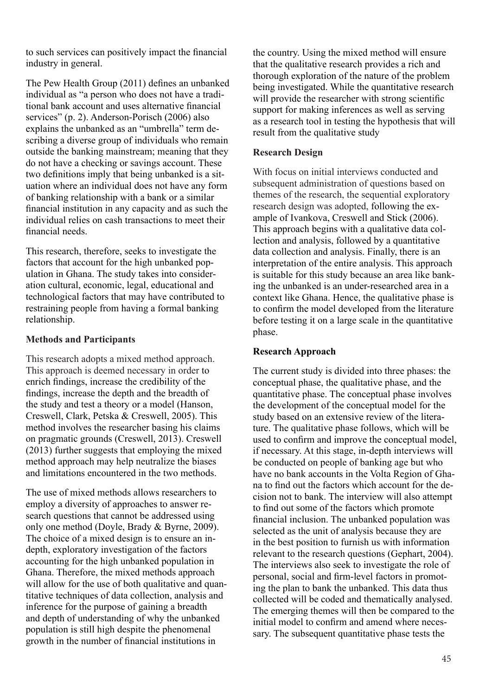to such services can positively impact the financial industry in general.

The Pew Health Group (2011) defines an unbanked individual as "a person who does not have a traditional bank account and uses alternative financial services" (p. 2). Anderson-Porisch (2006) also explains the unbanked as an "umbrella" term describing a diverse group of individuals who remain outside the banking mainstream; meaning that they do not have a checking or savings account. These two definitions imply that being unbanked is a situation where an individual does not have any form of banking relationship with a bank or a similar financial institution in any capacity and as such the individual relies on cash transactions to meet their financial needs.

This research, therefore, seeks to investigate the factors that account for the high unbanked population in Ghana. The study takes into consideration cultural, economic, legal, educational and technological factors that may have contributed to restraining people from having a formal banking relationship.

### **Methods and Participants**

This research adopts a mixed method approach. This approach is deemed necessary in order to enrich findings, increase the credibility of the findings, increase the depth and the breadth of the study and test a theory or a model (Hanson, Creswell, Clark, Petska & Creswell, 2005). This method involves the researcher basing his claims on pragmatic grounds (Creswell, 2013). Creswell (2013) further suggests that employing the mixed method approach may help neutralize the biases and limitations encountered in the two methods.

The use of mixed methods allows researchers to employ a diversity of approaches to answer research questions that cannot be addressed using only one method (Doyle, Brady & Byrne, 2009). The choice of a mixed design is to ensure an indepth, exploratory investigation of the factors accounting for the high unbanked population in Ghana. Therefore, the mixed methods approach will allow for the use of both qualitative and quantitative techniques of data collection, analysis and inference for the purpose of gaining a breadth and depth of understanding of why the unbanked population is still high despite the phenomenal growth in the number of financial institutions in

the country. Using the mixed method will ensure that the qualitative research provides a rich and thorough exploration of the nature of the problem being investigated. While the quantitative research will provide the researcher with strong scientific support for making inferences as well as serving as a research tool in testing the hypothesis that will result from the qualitative study

## **Research Design**

With focus on initial interviews conducted and subsequent administration of questions based on themes of the research, the sequential exploratory research design was adopted, following the example of Ivankova, Creswell and Stick (2006). This approach begins with a qualitative data collection and analysis, followed by a quantitative data collection and analysis. Finally, there is an interpretation of the entire analysis. This approach is suitable for this study because an area like banking the unbanked is an under-researched area in a context like Ghana. Hence, the qualitative phase is to confirm the model developed from the literature before testing it on a large scale in the quantitative phase.

### **Research Approach**

The current study is divided into three phases: the conceptual phase, the qualitative phase, and the quantitative phase. The conceptual phase involves the development of the conceptual model for the study based on an extensive review of the literature. The qualitative phase follows, which will be used to confirm and improve the conceptual model, if necessary. At this stage, in-depth interviews will be conducted on people of banking age but who have no bank accounts in the Volta Region of Ghana to find out the factors which account for the decision not to bank. The interview will also attempt to find out some of the factors which promote financial inclusion. The unbanked population was selected as the unit of analysis because they are in the best position to furnish us with information relevant to the research questions (Gephart, 2004). The interviews also seek to investigate the role of personal, social and firm-level factors in promoting the plan to bank the unbanked. This data thus collected will be coded and thematically analysed. The emerging themes will then be compared to the initial model to confirm and amend where necessary. The subsequent quantitative phase tests the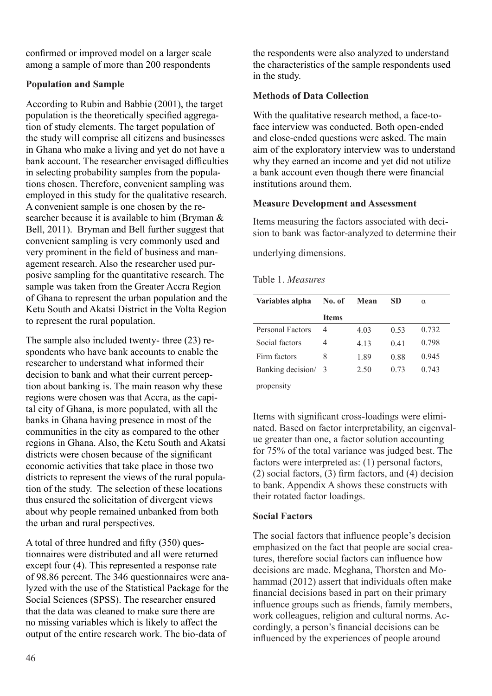confirmed or improved model on a larger scale among a sample of more than 200 respondents

## **Population and Sample**

According to Rubin and Babbie (2001), the target population is the theoretically specified aggregation of study elements. The target population of the study will comprise all citizens and businesses in Ghana who make a living and yet do not have a bank account. The researcher envisaged difficulties in selecting probability samples from the populations chosen. Therefore, convenient sampling was employed in this study for the qualitative research. A convenient sample is one chosen by the researcher because it is available to him (Bryman & Bell, 2011). Bryman and Bell further suggest that convenient sampling is very commonly used and very prominent in the field of business and management research. Also the researcher used purposive sampling for the quantitative research. The sample was taken from the Greater Accra Region of Ghana to represent the urban population and the Ketu South and Akatsi District in the Volta Region to represent the rural population.

The sample also included twenty- three (23) respondents who have bank accounts to enable the researcher to understand what informed their decision to bank and what their current perception about banking is. The main reason why these regions were chosen was that Accra, as the capital city of Ghana, is more populated, with all the banks in Ghana having presence in most of the communities in the city as compared to the other regions in Ghana. Also, the Ketu South and Akatsi districts were chosen because of the significant economic activities that take place in those two districts to represent the views of the rural population of the study. The selection of these locations thus ensured the solicitation of divergent views about why people remained unbanked from both the urban and rural perspectives.

A total of three hundred and fifty (350) questionnaires were distributed and all were returned except four (4). This represented a response rate of 98.86 percent. The 346 questionnaires were analyzed with the use of the Statistical Package for the Social Sciences (SPSS). The researcher ensured that the data was cleaned to make sure there are no missing variables which is likely to affect the output of the entire research work. The bio-data of

the respondents were also analyzed to understand the characteristics of the sample respondents used in the study.

## **Methods of Data Collection**

With the qualitative research method, a face-toface interview was conducted. Both open-ended and close-ended questions were asked. The main aim of the exploratory interview was to understand why they earned an income and yet did not utilize a bank account even though there were financial institutions around them.

### **Measure Development and Assessment**

Items measuring the factors associated with decision to bank was factor-analyzed to determine their

underlying dimensions.

| Variables alpha     | No. of       | Mean | SD   | $\alpha$ |
|---------------------|--------------|------|------|----------|
|                     | <b>Items</b> |      |      |          |
| Personal Factors    | 4            | 4.03 | 0.53 | 0.732    |
| Social factors      | 4            | 4.13 | 0.41 | 0.798    |
| Firm factors        | 8            | 1.89 | 0.88 | 0.945    |
| Banking decision/ 3 |              | 2.50 | 0.73 | 0.743    |
| propensity          |              |      |      |          |

Items with significant cross-loadings were eliminated. Based on factor interpretability, an eigenvalue greater than one, a factor solution accounting for 75% of the total variance was judged best. The factors were interpreted as: (1) personal factors, (2) social factors, (3) firm factors, and (4) decision to bank. Appendix A shows these constructs with their rotated factor loadings.

### **Social Factors**

The social factors that influence people's decision emphasized on the fact that people are social creatures, therefore social factors can influence how decisions are made. Meghana, Thorsten and Mohammad (2012) assert that individuals often make financial decisions based in part on their primary influence groups such as friends, family members, work colleagues, religion and cultural norms. Accordingly, a person's financial decisions can be influenced by the experiences of people around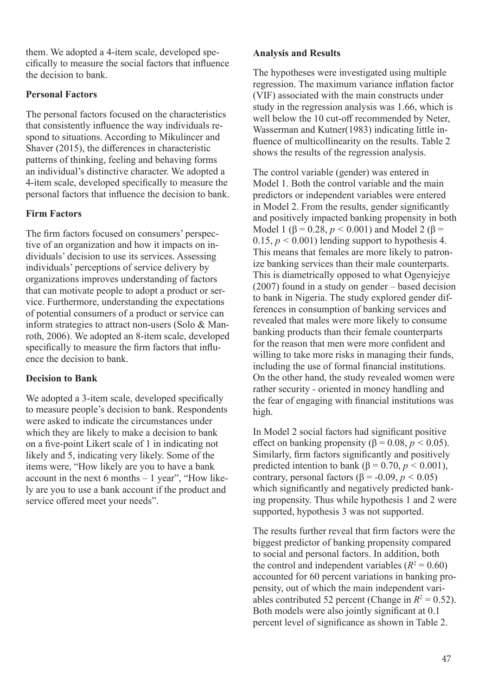them. We adopted a 4-item scale, developed specifically to measure the social factors that influence the decision to bank.

## **Personal Factors**

The personal factors focused on the characteristics that consistently influence the way individuals respond to situations. According to Mikulincer and Shaver (2015), the differences in characteristic patterns of thinking, feeling and behaving forms an individual's distinctive character. We adopted a 4-item scale, developed specifically to measure the personal factors that influence the decision to bank.

## **Firm Factors**

The firm factors focused on consumers' perspective of an organization and how it impacts on individuals' decision to use its services. Assessing individuals' perceptions of service delivery by organizations improves understanding of factors that can motivate people to adopt a product or service. Furthermore, understanding the expectations of potential consumers of a product or service can inform strategies to attract non-users (Solo & Manroth, 2006). We adopted an 8-item scale, developed specifically to measure the firm factors that influence the decision to bank.

## **Decision to Bank**

We adopted a 3-item scale, developed specifically to measure people's decision to bank. Respondents were asked to indicate the circumstances under which they are likely to make a decision to bank on a five-point Likert scale of 1 in indicating not likely and 5, indicating very likely. Some of the items were, "How likely are you to have a bank account in the next 6 months – 1 year", "How likely are you to use a bank account if the product and service offered meet your needs".

## **Analysis and Results**

The hypotheses were investigated using multiple regression. The maximum variance inflation factor (VIF) associated with the main constructs under study in the regression analysis was 1.66, which is well below the 10 cut-off recommended by Neter, Wasserman and Kutner(1983) indicating little influence of multicollinearity on the results. Table 2 shows the results of the regression analysis.

The control variable (gender) was entered in Model 1. Both the control variable and the main predictors or independent variables were entered in Model 2. From the results, gender significantly and positively impacted banking propensity in both Model 1 (β = 0.28,  $p$  < 0.001) and Model 2 (β = 0.15,  $p < 0.001$ ) lending support to hypothesis 4. This means that females are more likely to patronize banking services than their male counterparts. This is diametrically opposed to what Ogenyiejye (2007) found in a study on gender – based decision to bank in Nigeria. The study explored gender differences in consumption of banking services and revealed that males were more likely to consume banking products than their female counterparts for the reason that men were more confident and willing to take more risks in managing their funds, including the use of formal financial institutions. On the other hand, the study revealed women were rather security - oriented in money handling and the fear of engaging with financial institutions was high.

In Model 2 social factors had significant positive effect on banking propensity ( $\beta$  = 0.08,  $p$  < 0.05). Similarly, firm factors significantly and positively predicted intention to bank ( $\beta$  = 0.70, *p* < 0.001), contrary, personal factors ( $β = -0.09, p < 0.05$ ) which significantly and negatively predicted banking propensity. Thus while hypothesis 1 and 2 were supported, hypothesis 3 was not supported.

The results further reveal that firm factors were the biggest predictor of banking propensity compared to social and personal factors. In addition, both the control and independent variables  $(R^2 = 0.60)$ accounted for 60 percent variations in banking propensity, out of which the main independent variables contributed 52 percent (Change in  $R^2 = 0.52$ ). Both models were also jointly significant at 0.1 percent level of significance as shown in Table 2.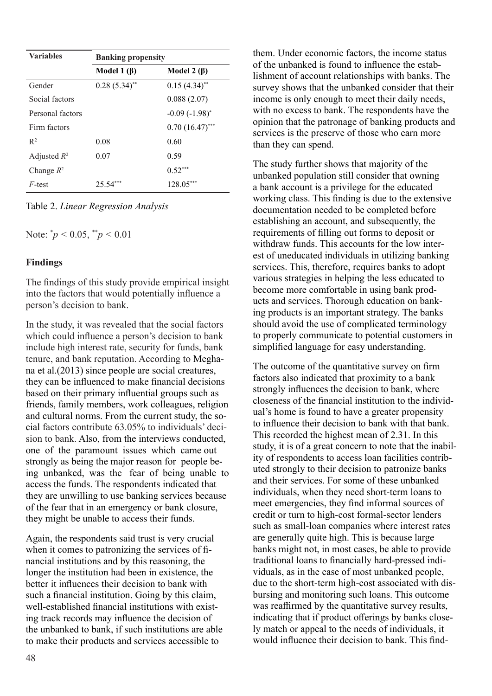| <b>Variables</b> | <b>Banking propensity</b> |                      |  |
|------------------|---------------------------|----------------------|--|
|                  | Model 1 $(\beta)$         | Model 2 $(\beta)$    |  |
| Gender           | $0.28(5.34)$ **           | $0.15(4.34)$ **      |  |
| Social factors   |                           | 0.088(2.07)          |  |
| Personal factors |                           | $-0.09(-1.98)^{*}$   |  |
| Firm factors     |                           | $0.70$ $(16.47)$ *** |  |
| $R^2$            | 0.08                      | 0.60                 |  |
| Adjusted $R^2$   | 0.07                      | 0.59                 |  |
| Change $R^2$     |                           | $0.52***$            |  |
| $F$ -test        | 25.54                     | 128.05               |  |

Table 2. *Linear Regression Analysis*

Note: \* *p <* 0.05, \*\**p <* 0.01

#### **Findings**

The findings of this study provide empirical insight into the factors that would potentially influence a person's decision to bank.

In the study, it was revealed that the social factors which could influence a person's decision to bank include high interest rate, security for funds, bank tenure, and bank reputation. According to Meghana et al.(2013) since people are social creatures, they can be influenced to make financial decisions based on their primary influential groups such as friends, family members, work colleagues, religion and cultural norms. From the current study, the social factors contribute 63.05% to individuals' decision to bank. Also, from the interviews conducted, one of the paramount issues which came out strongly as being the major reason for people being unbanked, was the fear of being unable to access the funds. The respondents indicated that they are unwilling to use banking services because of the fear that in an emergency or bank closure, they might be unable to access their funds.

Again, the respondents said trust is very crucial when it comes to patronizing the services of financial institutions and by this reasoning, the longer the institution had been in existence, the better it influences their decision to bank with such a financial institution. Going by this claim, well-established financial institutions with existing track records may influence the decision of the unbanked to bank, if such institutions are able to make their products and services accessible to

them. Under economic factors, the income status of the unbanked is found to influence the establishment of account relationships with banks. The survey shows that the unbanked consider that their income is only enough to meet their daily needs, with no excess to bank. The respondents have the opinion that the patronage of banking products and services is the preserve of those who earn more than they can spend.

The study further shows that majority of the unbanked population still consider that owning a bank account is a privilege for the educated working class. This finding is due to the extensive documentation needed to be completed before establishing an account, and subsequently, the requirements of filling out forms to deposit or withdraw funds. This accounts for the low interest of uneducated individuals in utilizing banking services. This, therefore, requires banks to adopt various strategies in helping the less educated to become more comfortable in using bank products and services. Thorough education on banking products is an important strategy. The banks should avoid the use of complicated terminology to properly communicate to potential customers in simplified language for easy understanding.

The outcome of the quantitative survey on firm factors also indicated that proximity to a bank strongly influences the decision to bank, where closeness of the financial institution to the individual's home is found to have a greater propensity to influence their decision to bank with that bank. This recorded the highest mean of 2.31. In this study, it is of a great concern to note that the inability of respondents to access loan facilities contributed strongly to their decision to patronize banks and their services. For some of these unbanked individuals, when they need short-term loans to meet emergencies, they find informal sources of credit or turn to high-cost formal-sector lenders such as small-loan companies where interest rates are generally quite high. This is because large banks might not, in most cases, be able to provide traditional loans to financially hard-pressed individuals, as in the case of most unbanked people, due to the short-term high-cost associated with disbursing and monitoring such loans. This outcome was reaffirmed by the quantitative survey results, indicating that if product offerings by banks closely match or appeal to the needs of individuals, it would influence their decision to bank. This find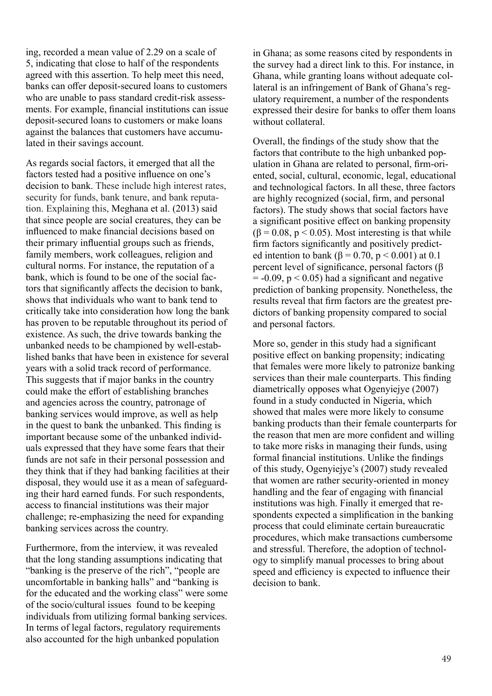ing, recorded a mean value of 2.29 on a scale of 5, indicating that close to half of the respondents agreed with this assertion. To help meet this need, banks can offer deposit-secured loans to customers who are unable to pass standard credit-risk assessments. For example, financial institutions can issue deposit-secured loans to customers or make loans against the balances that customers have accumulated in their savings account.

As regards social factors, it emerged that all the factors tested had a positive influence on one's decision to bank. These include high interest rates, security for funds, bank tenure, and bank reputation. Explaining this, Meghana et al. (2013) said that since people are social creatures, they can be influenced to make financial decisions based on their primary influential groups such as friends, family members, work colleagues, religion and cultural norms. For instance, the reputation of a bank, which is found to be one of the social factors that significantly affects the decision to bank, shows that individuals who want to bank tend to critically take into consideration how long the bank has proven to be reputable throughout its period of existence. As such, the drive towards banking the unbanked needs to be championed by well-established banks that have been in existence for several years with a solid track record of performance. This suggests that if major banks in the country could make the effort of establishing branches and agencies across the country, patronage of banking services would improve, as well as help in the quest to bank the unbanked. This finding is important because some of the unbanked individuals expressed that they have some fears that their funds are not safe in their personal possession and they think that if they had banking facilities at their disposal, they would use it as a mean of safeguarding their hard earned funds. For such respondents, access to financial institutions was their major challenge; re-emphasizing the need for expanding banking services across the country.

Furthermore, from the interview, it was revealed that the long standing assumptions indicating that "banking is the preserve of the rich", "people are uncomfortable in banking halls" and "banking is for the educated and the working class" were some of the socio/cultural issues found to be keeping individuals from utilizing formal banking services. In terms of legal factors, regulatory requirements also accounted for the high unbanked population

in Ghana; as some reasons cited by respondents in the survey had a direct link to this. For instance, in Ghana, while granting loans without adequate collateral is an infringement of Bank of Ghana's regulatory requirement, a number of the respondents expressed their desire for banks to offer them loans without collateral.

Overall, the findings of the study show that the factors that contribute to the high unbanked population in Ghana are related to personal, firm-oriented, social, cultural, economic, legal, educational and technological factors. In all these, three factors are highly recognized (social, firm, and personal factors). The study shows that social factors have a significant positive effect on banking propensity  $(\beta = 0.08, p < 0.05)$ . Most interesting is that while firm factors significantly and positively predicted intention to bank ( $\beta = 0.70$ ,  $p < 0.001$ ) at 0.1 percent level of significance, personal factors (β  $= -0.09$ ,  $p < 0.05$ ) had a significant and negative prediction of banking propensity. Nonetheless, the results reveal that firm factors are the greatest predictors of banking propensity compared to social and personal factors.

More so, gender in this study had a significant positive effect on banking propensity; indicating that females were more likely to patronize banking services than their male counterparts. This finding diametrically opposes what Ogenyiejye (2007) found in a study conducted in Nigeria, which showed that males were more likely to consume banking products than their female counterparts for the reason that men are more confident and willing to take more risks in managing their funds, using formal financial institutions. Unlike the findings of this study, Ogenyiejye's (2007) study revealed that women are rather security-oriented in money handling and the fear of engaging with financial institutions was high. Finally it emerged that respondents expected a simplification in the banking process that could eliminate certain bureaucratic procedures, which make transactions cumbersome and stressful. Therefore, the adoption of technology to simplify manual processes to bring about speed and efficiency is expected to influence their decision to bank.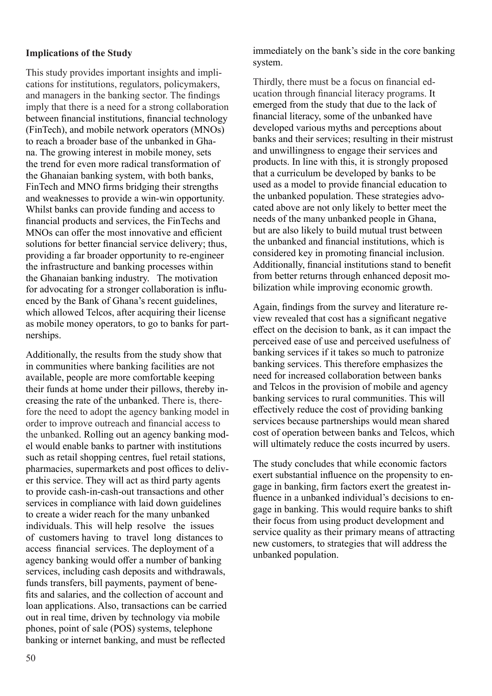#### **Implications of the Study**

This study provides important insights and implications for institutions, regulators, policymakers, and managers in the banking sector. The findings imply that there is a need for a strong collaboration between financial institutions, financial technology (FinTech), and mobile network operators (MNOs) to reach a broader base of the unbanked in Ghana. The growing interest in mobile money, sets the trend for even more radical transformation of the Ghanaian banking system, with both banks, FinTech and MNO firms bridging their strengths and weaknesses to provide a win-win opportunity. Whilst banks can provide funding and access to financial products and services, the FinTechs and MNOs can offer the most innovative and efficient solutions for better financial service delivery; thus, providing a far broader opportunity to re-engineer the infrastructure and banking processes within the Ghanaian banking industry. The motivation for advocating for a stronger collaboration is influenced by the Bank of Ghana's recent guidelines, which allowed Telcos, after acquiring their license as mobile money operators, to go to banks for partnerships.

Additionally, the results from the study show that in communities where banking facilities are not available, people are more comfortable keeping their funds at home under their pillows, thereby increasing the rate of the unbanked. There is, therefore the need to adopt the agency banking model in order to improve outreach and financial access to the unbanked. Rolling out an agency banking model would enable banks to partner with institutions such as retail shopping centres, fuel retail stations, pharmacies, supermarkets and post offices to deliver this service. They will act as third party agents to provide cash-in-cash-out transactions and other services in compliance with laid down guidelines to create a wider reach for the many unbanked individuals. This will help resolve the issues of customers having to travel long distances to access financial services. The deployment of a agency banking would offer a number of banking services, including cash deposits and withdrawals, funds transfers, bill payments, payment of benefits and salaries, and the collection of account and loan applications. Also, transactions can be carried out in real time, driven by technology via mobile phones, point of sale (POS) systems, telephone banking or internet banking, and must be reflected

immediately on the bank's side in the core banking system.

Thirdly, there must be a focus on financial education through financial literacy programs. It emerged from the study that due to the lack of financial literacy, some of the unbanked have developed various myths and perceptions about banks and their services; resulting in their mistrust and unwillingness to engage their services and products. In line with this, it is strongly proposed that a curriculum be developed by banks to be used as a model to provide financial education to the unbanked population. These strategies advocated above are not only likely to better meet the needs of the many unbanked people in Ghana, but are also likely to build mutual trust between the unbanked and financial institutions, which is considered key in promoting financial inclusion. Additionally, financial institutions stand to benefit from better returns through enhanced deposit mobilization while improving economic growth.

Again, findings from the survey and literature review revealed that cost has a significant negative effect on the decision to bank, as it can impact the perceived ease of use and perceived usefulness of banking services if it takes so much to patronize banking services. This therefore emphasizes the need for increased collaboration between banks and Telcos in the provision of mobile and agency banking services to rural communities. This will effectively reduce the cost of providing banking services because partnerships would mean shared cost of operation between banks and Telcos, which will ultimately reduce the costs incurred by users.

The study concludes that while economic factors exert substantial influence on the propensity to engage in banking, firm factors exert the greatest influence in a unbanked individual's decisions to engage in banking. This would require banks to shift their focus from using product development and service quality as their primary means of attracting new customers, to strategies that will address the unbanked population.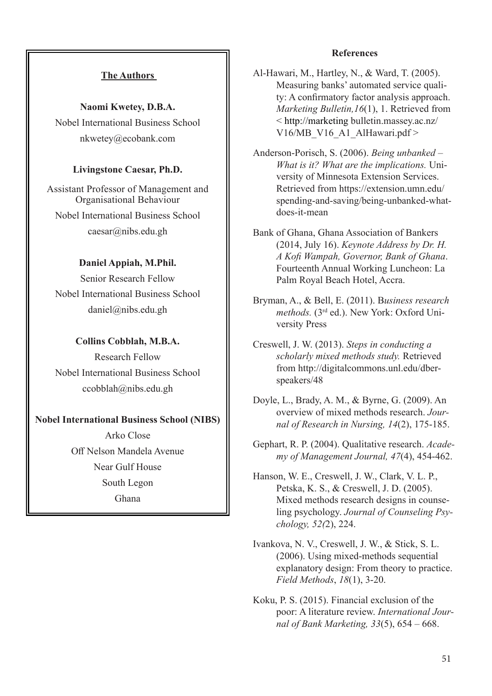## **The Authors**

**Naomi Kwetey, D.B.A.** Nobel International Business School nkwetey@ecobank.com

#### **Livingstone Caesar, Ph.D.**

Assistant Professor of Management and Organisational Behaviour Nobel International Business School

caesar@nibs.edu.gh

#### **Daniel Appiah, M.Phil.**

Senior Research Fellow Nobel International Business School daniel@nibs.edu.gh

#### **Collins Cobblah, M.B.A.**

Research Fellow Nobel International Business School ccobblah@nibs.edu.gh

#### **Nobel International Business School (NIBS)**

Arko Close Off Nelson Mandela Avenue Near Gulf House South Legon Ghana

#### **References**

Al-Hawari, M., Hartley, N., & Ward, T. (2005). Measuring banks' automated service quality: A confirmatory factor analysis approach. *Marketing Bulletin,16*(1), 1. Retrieved from < http://marketing bulletin.massey.ac.nz/ V16/MB\_V16\_A1\_AlHawari.pdf >

Anderson-Porisch, S. (2006). *Being unbanked – What is it? What are the implications.* University of Minnesota Extension Services. Retrieved from https://extension.umn.edu/ spending-and-saving/being-unbanked-whatdoes-it-mean

Bank of Ghana, Ghana Association of Bankers (2014, July 16). *Keynote Address by Dr. H. A Kofi Wampah, Governor, Bank of Ghana*. Fourteenth Annual Working Luncheon: La Palm Royal Beach Hotel, Accra.

Bryman, A., & Bell, E. (2011). B*usiness research methods.* (3rd ed.). New York: Oxford University Press

Creswell, J. W. (2013). *Steps in conducting a scholarly mixed methods study.* Retrieved from http://digitalcommons.unl.edu/dberspeakers/48

- Doyle, L., Brady, A. M., & Byrne, G. (2009). An overview of mixed methods research. *Journal of Research in Nursing, 14*(2), 175-185.
- Gephart, R. P. (2004). Qualitative research. *Academy of Management Journal, 47*(4), 454-462.
- Hanson, W. E., Creswell, J. W., Clark, V. L. P., Petska, K. S., & Creswell, J. D. (2005). Mixed methods research designs in counseling psychology. *Journal of Counseling Psychology, 52(*2), 224.
- Ivankova, N. V., Creswell, J. W., & Stick, S. L. (2006). Using mixed-methods sequential explanatory design: From theory to practice. *Field Methods*, *18*(1), 3-20.
- Koku, P. S. (2015). Financial exclusion of the poor: A literature review. *International Journal of Bank Marketing, 33*(5), 654 – 668.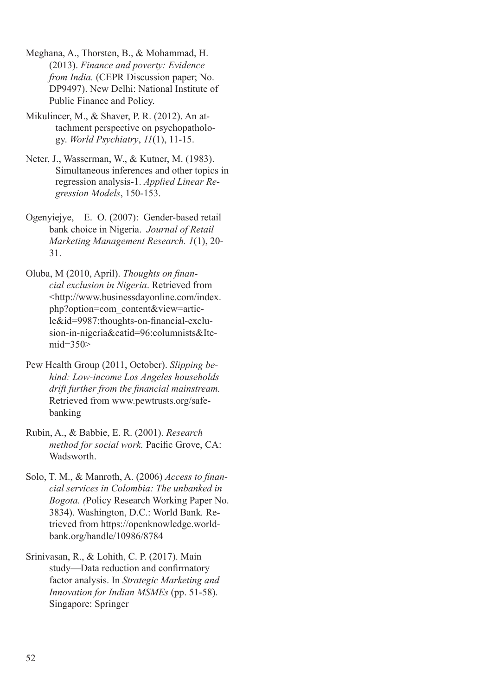Meghana, A., Thorsten, B., & Mohammad, H. (2013). *Finance and poverty: Evidence from India.* (CEPR Discussion paper; No. DP9497). New Delhi: National Institute of Public Finance and Policy.

Mikulincer, M., & Shaver, P. R. (2012). An attachment perspective on psychopathology. *World Psychiatry*, *11*(1), 11-15.

- Neter, J., Wasserman, W., & Kutner, M. (1983). Simultaneous inferences and other topics in regression analysis-1. *Applied Linear Regression Models*, 150-153.
- Ogenyiejye, E. O. (2007): Gender-based retail bank choice in Nigeria. *Journal of Retail Marketing Management Research. 1*(1), 20- 31.

Oluba, M (2010, April). *Thoughts on financial exclusion in Nigeria*. Retrieved from <http://www.businessdayonline.com/index. php?option=com\_content&view=article&id=9987:thoughts-on-financial-exclusion-in-nigeria&catid=96:columnists&Itemid=350>

Pew Health Group (2011, October). *Slipping behind: Low-income Los Angeles households drift further from the financial mainstream.*  Retrieved from www.pewtrusts.org/safebanking

Rubin, A., & Babbie, E. R. (2001). *Research method for social work.* Pacific Grove, CA: Wadsworth.

Solo, T. M., & Manroth, A. (2006) *Access to financial services in Colombia: The unbanked in Bogota. (*Policy Research Working Paper No. 3834). Washington, D.C.: World Bank*.* Retrieved from https://openknowledge.worldbank.org/handle/10986/8784

Srinivasan, R., & Lohith, C. P. (2017). Main study—Data reduction and confirmatory factor analysis. In *Strategic Marketing and Innovation for Indian MSMEs* (pp. 51-58). Singapore: Springer